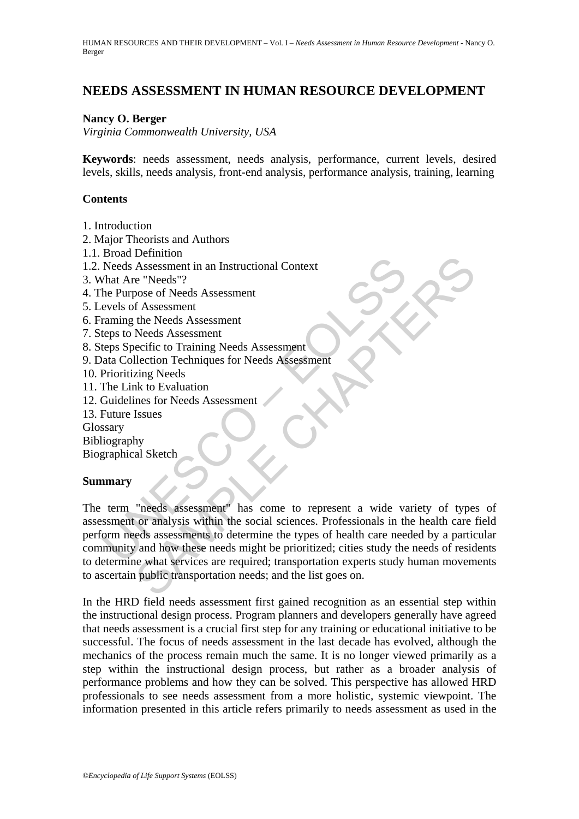# **NEEDS ASSESSMENT IN HUMAN RESOURCE DEVELOPMENT**

#### **Nancy O. Berger**

*Virginia Commonwealth University, USA* 

**Keywords**: needs assessment, needs analysis, performance, current levels, desired levels, skills, needs analysis, front-end analysis, performance analysis, training, learning

#### **Contents**

- 1. Introduction
- 2. Major Theorists and Authors
- 1.1. Broad Definition
- 1.2. Needs Assessment in an Instructional Context
- 3. What Are "Needs"?
- 4. The Purpose of Needs Assessment
- 5. Levels of Assessment
- 6. Framing the Needs Assessment
- 7. Steps to Needs Assessment
- 8. Steps Specific to Training Needs Assessment
- 9. Data Collection Techniques for Needs Assessment
- 10. Prioritizing Needs
- 11. The Link to Evaluation
- 12. Guidelines for Needs Assessment
- 13. Future Issues

Glossary

Bibliography

Biographical Sketch

#### **Summary**

Deads Designation<br>
Needs Assessment in an Instructional Context<br>
That Are "Needs"?<br>
The Purpose of Needs Assessment<br>
revises of Assessment<br>
reprise to Needs Assessment<br>
reprise to Needs Assessment<br>
reprise to Needs Assessm Exament in an Instructional Context<br>
Consessment in an Instructional Context<br>
e "Needs"?<br>
Sosessment the Needs Assessment<br>
the Needs Assessment<br>
Needs Assessment<br>
Needs Assessment<br>
Election Techniques for Needs Assessment<br> The term "needs assessment" has come to represent a wide variety of types of assessment or analysis within the social sciences. Professionals in the health care field perform needs assessments to determine the types of health care needed by a particular community and how these needs might be prioritized; cities study the needs of residents to determine what services are required; transportation experts study human movements to ascertain public transportation needs; and the list goes on.

In the HRD field needs assessment first gained recognition as an essential step within the instructional design process. Program planners and developers generally have agreed that needs assessment is a crucial first step for any training or educational initiative to be successful. The focus of needs assessment in the last decade has evolved, although the mechanics of the process remain much the same. It is no longer viewed primarily as a step within the instructional design process, but rather as a broader analysis of performance problems and how they can be solved. This perspective has allowed HRD professionals to see needs assessment from a more holistic, systemic viewpoint. The information presented in this article refers primarily to needs assessment as used in the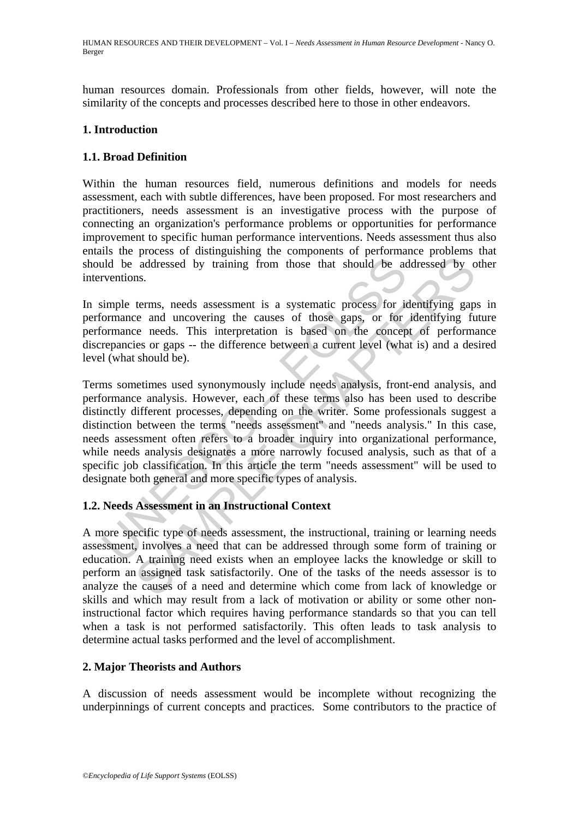HUMAN RESOURCES AND THEIR DEVELOPMENT – Vol. I – *Needs Assessment in Human Resource Development* - Nancy O. Berger

human resources domain. Professionals from other fields, however, will note the similarity of the concepts and processes described here to those in other endeavors.

#### **1. Introduction**

#### **1.1. Broad Definition**

Within the human resources field, numerous definitions and models for needs assessment, each with subtle differences, have been proposed. For most researchers and practitioners, needs assessment is an investigative process with the purpose of connecting an organization's performance problems or opportunities for performance improvement to specific human performance interventions. Needs assessment thus also entails the process of distinguishing the components of performance problems that should be addressed by training from those that should be addressed by other interventions.

In simple terms, needs assessment is a systematic process for identifying gaps in performance and uncovering the causes of those gaps, or for identifying future performance needs. This interpretation is based on the concept of performance discrepancies or gaps -- the difference between a current level (what is) and a desired level (what should be).

Id be addressed by training from those that should be ac<br>ventions.<br>
simple terms, needs assessment is a systematic process for it<br>
correnance and uncovering the causes of those gaps, or for<br>
formance meds. This interpretat addressed by training from those that should be addressed by c<br>addressed by training from those that should be addressed by c<br>ns.<br><br>Example 2. This interpretation is based on the concept of performing<br>the ce needs. This int Terms sometimes used synonymously include needs analysis, front-end analysis, and performance analysis. However, each of these terms also has been used to describe distinctly different processes, depending on the writer. Some professionals suggest a distinction between the terms "needs assessment" and "needs analysis." In this case, needs assessment often refers to a broader inquiry into organizational performance, while needs analysis designates a more narrowly focused analysis, such as that of a specific job classification. In this article the term "needs assessment" will be used to designate both general and more specific types of analysis.

#### **1.2. Needs Assessment in an Instructional Context**

A more specific type of needs assessment, the instructional, training or learning needs assessment, involves a need that can be addressed through some form of training or education. A training need exists when an employee lacks the knowledge or skill to perform an assigned task satisfactorily. One of the tasks of the needs assessor is to analyze the causes of a need and determine which come from lack of knowledge or skills and which may result from a lack of motivation or ability or some other noninstructional factor which requires having performance standards so that you can tell when a task is not performed satisfactorily. This often leads to task analysis to determine actual tasks performed and the level of accomplishment.

#### **2. Major Theorists and Authors**

A discussion of needs assessment would be incomplete without recognizing the underpinnings of current concepts and practices. Some contributors to the practice of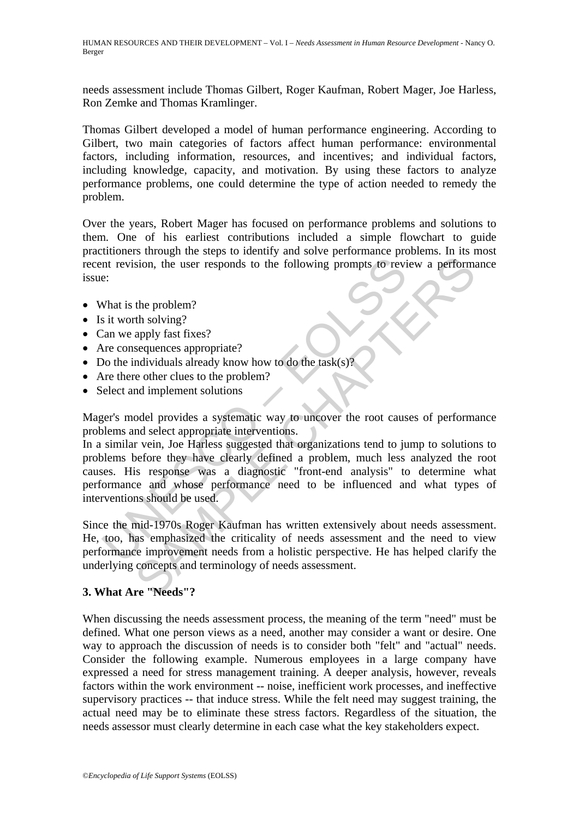HUMAN RESOURCES AND THEIR DEVELOPMENT – Vol. I – *Needs Assessment in Human Resource Development* - Nancy O. Berger

needs assessment include Thomas Gilbert, Roger Kaufman, Robert Mager, Joe Harless, Ron Zemke and Thomas Kramlinger.

Thomas Gilbert developed a model of human performance engineering. According to Gilbert, two main categories of factors affect human performance: environmental factors, including information, resources, and incentives; and individual factors, including knowledge, capacity, and motivation. By using these factors to analyze performance problems, one could determine the type of action needed to remedy the problem.

Over the years, Robert Mager has focused on performance problems and solutions to them. One of his earliest contributions included a simple flowchart to guide practitioners through the steps to identify and solve performance problems. In its most recent revision, the user responds to the following prompts to review a performance issue:

- What is the problem?
- Is it worth solving?
- Can we apply fast fixes?
- Are consequences appropriate?
- Do the individuals already know how to do the task(s)?
- Are there other clues to the problem?
- Select and implement solutions

Mager's model provides a systematic way to uncover the root causes of performance problems and select appropriate interventions.

Intervalsion, the user responds to the following prompts to review<br>
E:<br>
Section and tworth solving?<br>
The varth solving?<br>
The consequences appropriate?<br>
No the individuals already know how to do the task(s)?<br>
Net there cons Som, the user responds to the following prompts to review a perform<br>the problem?<br>the oblem?<br>The solutions already know how to do the task(s)?<br>apply fast fixes?<br>and individuals already know how to do the task(s)?<br>apply fast In a similar vein, Joe Harless suggested that organizations tend to jump to solutions to problems before they have clearly defined a problem, much less analyzed the root causes. His response was a diagnostic "front-end analysis" to determine what performance and whose performance need to be influenced and what types of interventions should be used.

Since the mid-1970s Roger Kaufman has written extensively about needs assessment. He, too, has emphasized the criticality of needs assessment and the need to view performance improvement needs from a holistic perspective. He has helped clarify the underlying concepts and terminology of needs assessment.

## **3. What Are "Needs"?**

When discussing the needs assessment process, the meaning of the term "need" must be defined. What one person views as a need, another may consider a want or desire. One way to approach the discussion of needs is to consider both "felt" and "actual" needs. Consider the following example. Numerous employees in a large company have expressed a need for stress management training. A deeper analysis, however, reveals factors within the work environment -- noise, inefficient work processes, and ineffective supervisory practices -- that induce stress. While the felt need may suggest training, the actual need may be to eliminate these stress factors. Regardless of the situation, the needs assessor must clearly determine in each case what the key stakeholders expect.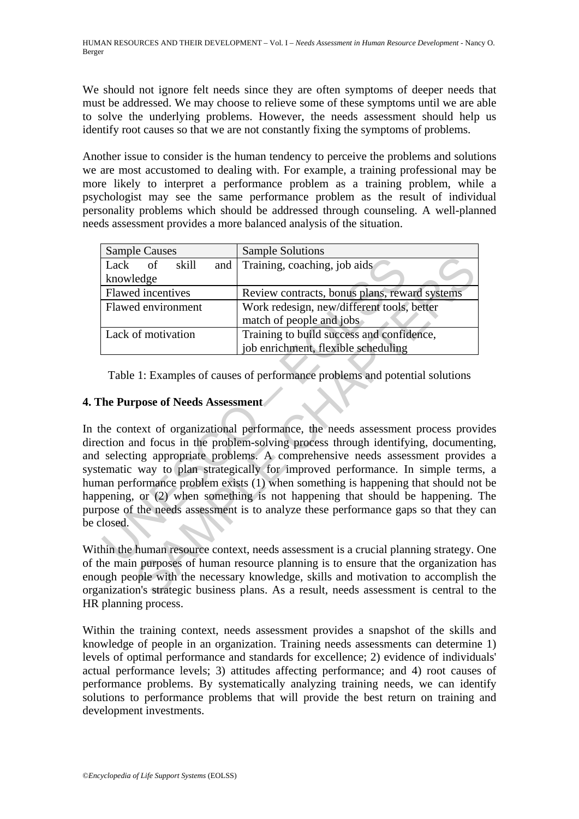We should not ignore felt needs since they are often symptoms of deeper needs that must be addressed. We may choose to relieve some of these symptoms until we are able to solve the underlying problems. However, the needs assessment should help us identify root causes so that we are not constantly fixing the symptoms of problems.

Another issue to consider is the human tendency to perceive the problems and solutions we are most accustomed to dealing with. For example, a training professional may be more likely to interpret a performance problem as a training problem, while a psychologist may see the same performance problem as the result of individual personality problems which should be addressed through counseling. A well-planned needs assessment provides a more balanced analysis of the situation.

| <b>Sample Causes</b>     | <b>Sample Solutions</b>                       |
|--------------------------|-----------------------------------------------|
| Lack<br>skill<br>of      | and Training, coaching, job aids              |
| knowledge                |                                               |
| <b>Flawed</b> incentives | Review contracts, bonus plans, reward systems |
| Flawed environment       | Work redesign, new/different tools, better    |
|                          | match of people and jobs                      |
| Lack of motivation       | Training to build success and confidence,     |
|                          | job enrichment, flexible scheduling           |

Table 1: Examples of causes of performance problems and potential solutions

## **4. The Purpose of Needs Assessment**

Lack of skill and Training, coaching, job aids<br>
knowledge<br>
Elawed incentives Review contracts, bonus plans, rew<br>
Flawed environment Work redesign, new/different tools,<br>
match of people and jobs<br>
Lack of motivation Training of skill and Training, coaching, job aids<br>
dedge<br>
dincentives Review contracts, bonus plans, reward systems<br>
denvironment Work redesign, new/different tools, better<br>
match of people and jobs<br>
of motivation Training to buil In the context of organizational performance, the needs assessment process provides direction and focus in the problem-solving process through identifying, documenting, and selecting appropriate problems. A comprehensive needs assessment provides a systematic way to plan strategically for improved performance. In simple terms, a human performance problem exists (1) when something is happening that should not be happening, or (2) when something is not happening that should be happening. The purpose of the needs assessment is to analyze these performance gaps so that they can be closed.

Within the human resource context, needs assessment is a crucial planning strategy. One of the main purposes of human resource planning is to ensure that the organization has enough people with the necessary knowledge, skills and motivation to accomplish the organization's strategic business plans. As a result, needs assessment is central to the HR planning process.

Within the training context, needs assessment provides a snapshot of the skills and knowledge of people in an organization. Training needs assessments can determine 1) levels of optimal performance and standards for excellence; 2) evidence of individuals' actual performance levels; 3) attitudes affecting performance; and 4) root causes of performance problems. By systematically analyzing training needs, we can identify solutions to performance problems that will provide the best return on training and development investments.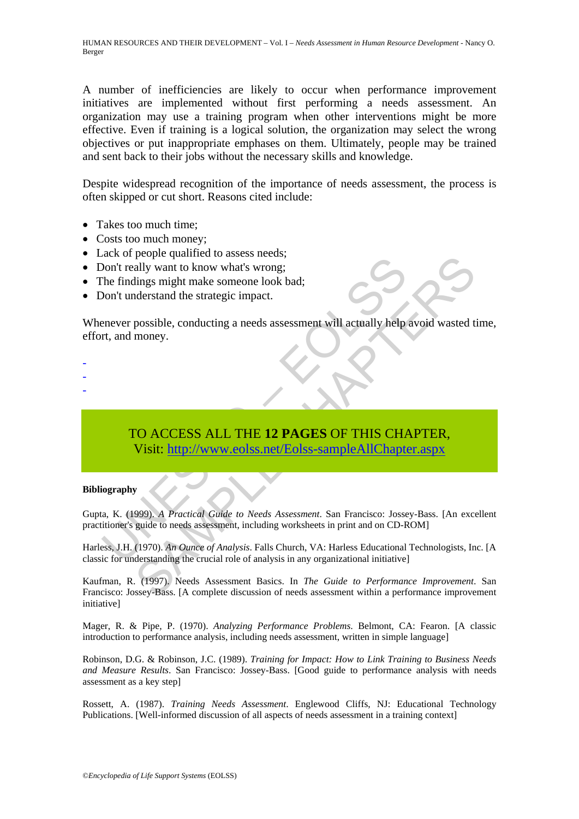A number of inefficiencies are likely to occur when performance improvement initiatives are implemented without first performing a needs assessment. An organization may use a training program when other interventions might be more effective. Even if training is a logical solution, the organization may select the wrong objectives or put inappropriate emphases on them. Ultimately, people may be trained and sent back to their jobs without the necessary skills and knowledge.

Despite widespread recognition of the importance of needs assessment, the process is often skipped or cut short. Reasons cited include:

- Takes too much time:
- Costs too much money;
- Lack of people qualified to assess needs:
- Don't really want to know what's wrong;
- The findings might make someone look bad;
- Don't understand the strategic impact.

Whenever possible, conducting a needs assessment will actually help avoid wasted time, effort, and money.

- -
- -
- -

# State of People qualities to assess hecass receives the conducting the findings might make someone look bad;<br>
Don't understand the strategic impact.<br>
TO ACCESS ALL THE 12 PAGES OF THIS CHA Visit: http://www.eolss.net/Eolss Propre quantieu du assess necessies.<br>
ally want to know what's wrong:<br>
ilings might make someone look bad;<br>
nderstand the strategic impact.<br>
possible, conducting a needs assessment will actually help avoid wasted t<br>
money. TO ACCESS ALL THE **12 PAGES** OF THIS CHAPTER, Visit: http://www.eolss.net/Eolss-sampleAllChapter.aspx

#### **Bibliography**

Gupta, K. (1999). *A Practical Guide to Needs Assessment*. San Francisco: Jossey-Bass. [An excellent practitioner's guide to needs assessment, including worksheets in print and on CD-ROM]

Harless, J.H. (1970). *An Ounce of Analysis*. Falls Church, VA: Harless Educational Technologists, Inc. [A classic for understanding the crucial role of analysis in any organizational initiative]

Kaufman, R. (1997). Needs Assessment Basics. In *The Guide to Performance Improvement*. San Francisco: Jossey-Bass. [A complete discussion of needs assessment within a performance improvement initiative]

Mager, R. & Pipe, P. (1970). *Analyzing Performance Problems*. Belmont, CA: Fearon. [A classic introduction to performance analysis, including needs assessment, written in simple language]

Robinson, D.G. & Robinson, J.C. (1989). *Training for Impact: How to Link Training to Business Needs and Measure Results*. San Francisco: Jossey-Bass. [Good guide to performance analysis with needs assessment as a key step]

Rossett, A. (1987). *Training Needs Assessment*. Englewood Cliffs, NJ: Educational Technology Publications. [Well-informed discussion of all aspects of needs assessment in a training context]